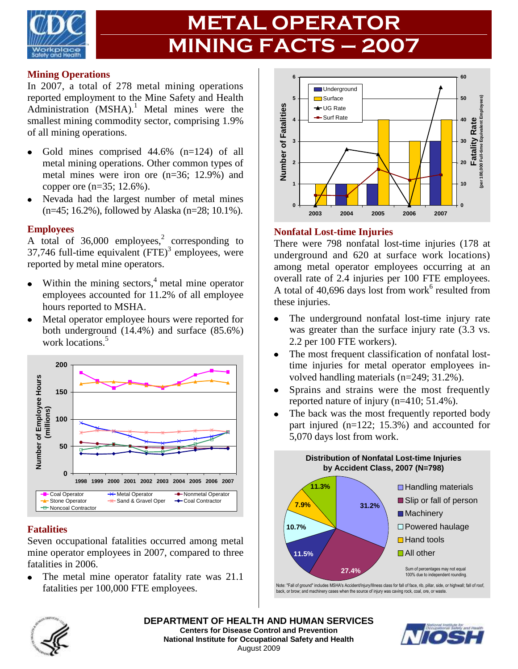

# **METAL OPERATOR MINING FACTS – 2007**

#### **Mining Operations**

In 2007, a total of 278 metal mining operations reported employment to the Mine Safety and Health Administration  $(MSHA)$ .<sup>1</sup> Metal mines were the smallest mining commodity sector, comprising 1.9% of all mining operations.

- Gold mines comprised 44.6% (n=124) of all  $\bullet$ metal mining operations. Other common types of metal mines were iron ore (n=36; 12.9%) and copper ore (n=35; 12.6%).
- Nevada had the largest number of metal mines (n=45; 16.2%), followed by Alaska (n=28; 10.1%).

#### **Employees**

A total of  $36,000$  employees,<sup>2</sup> corresponding to 37,746 full-time equivalent  $(FTE)^3$  employees, were reported by metal mine operators.

- Within the mining sectors, $4$  metal mine operator employees accounted for 11.2% of all employee hours reported to MSHA.
- Metal operator employee hours were reported for both underground (14.4%) and surface (85.6%) work locations.<sup>5</sup>



#### **Fatalities**

Seven occupational fatalities occurred among metal mine operator employees in 2007, compared to three fatalities in 2006.

The metal mine operator fatality rate was 21.1  $\bullet$ fatalities per 100,000 FTE employees.



#### **Nonfatal Lost-time Injuries**

There were 798 nonfatal lost-time injuries (178 at underground and 620 at surface work locations) among metal operator employees occurring at an overall rate of 2.4 injuries per 100 FTE employees. A total of  $40,696$  days lost from work<sup>6</sup> resulted from these injuries.

- The underground nonfatal lost-time injury rate  $\bullet$ was greater than the surface injury rate (3.3 vs. 2.2 per 100 FTE workers).
- The most frequent classification of nonfatal lost- $\bullet$ time injuries for metal operator employees involved handling materials (n=249; 31.2%).
- $\bullet$ Sprains and strains were the most frequently reported nature of injury (n=410; 51.4%).
- The back was the most frequently reported body  $\bullet$ part injured (n=122; 15.3%) and accounted for 5,070 days lost from work.



Note: "Fall of ground" includes MSHA's Accident/Injury/Illness class for fall of face, rib, pillar, side, or highwall; fall of roof, back, or brow; and machinery cases when the source of injury was caving rock, coal, ore, or waste.



**DEPARTMENT OF HEALTH AND HUMAN SERVICES Centers for Disease Control and Prevention National Institute for Occupational Safety and Health** August 2009